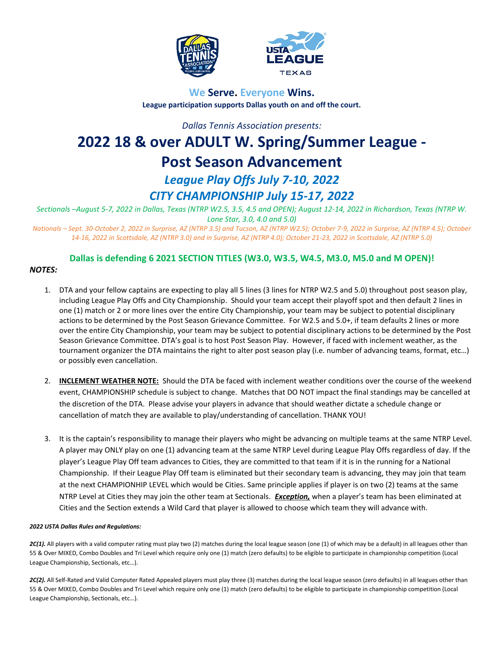



# **We Serve. Everyone Wins. League participation supports Dallas youth on and off the court.**

*Dallas Tennis Association presents:*

# **2022 18 & over ADULT W. Spring/Summer League - Post Season Advancement** *League Play Offs July 7-10, 2022 CITY CHAMPIONSHIP July 15-17, 2022*

*Sectionals –August 5-7, 2022 in Dallas, Texas (NTRP W2.5, 3.5, 4.5 and OPEN); August 12-14, 2022 in Richardson, Texas (NTRP W. Lone Star, 3.0, 4.0 and 5.0)*

*Nationals – Sept. 30-October 2, 2022 in Surprise, AZ (NTRP 3.5) and Tucson, AZ (NTRP W2.5); October 7-9, 2022 in Surprise, AZ (NTRP 4.5); October 14-16, 2022 in Scottsdale, AZ (NTRP 3.0) and in Surprise, AZ (NTRP 4.0); October 21-23, 2022 in Scottsdale, AZ (NTRP 5.0)*

# **Dallas is defending 6 2021 SECTION TITLES (W3.0, W3.5, W4.5, M3.0, M5.0 and M OPEN)!**

# *NOTES:*

- 1. DTA and your fellow captains are expecting to play all 5 lines (3 lines for NTRP W2.5 and 5.0) throughout post season play, including League Play Offs and City Championship. Should your team accept their playoff spot and then default 2 lines in one (1) match or 2 or more lines over the entire City Championship, your team may be subject to potential disciplinary actions to be determined by the Post Season Grievance Committee. For W2.5 and 5.0+, if team defaults 2 lines or more over the entire City Championship, your team may be subject to potential disciplinary actions to be determined by the Post Season Grievance Committee. DTA's goal is to host Post Season Play. However, if faced with inclement weather, as the tournament organizer the DTA maintains the right to alter post season play (i.e. number of advancing teams, format, etc…) or possibly even cancellation.
- 2. **INCLEMENT WEATHER NOTE:** Should the DTA be faced with inclement weather conditions over the course of the weekend event, CHAMPIONSHIP schedule is subject to change. Matches that DO NOT impact the final standings may be cancelled at the discretion of the DTA. Please advise your players in advance that should weather dictate a schedule change or cancellation of match they are available to play/understanding of cancellation. THANK YOU!
- 3. It is the captain's responsibility to manage their players who might be advancing on multiple teams at the same NTRP Level. A player may ONLY play on one (1) advancing team at the same NTRP Level during League Play Offs regardless of day. If the player's League Play Off team advances to Cities, they are committed to that team if it is in the running for a National Championship. If their League Play Off team is eliminated but their secondary team is advancing, they may join that team at the next CHAMPIONHIP LEVEL which would be Cities. Same principle applies if player is on two (2) teams at the same NTRP Level at Cities they may join the other team at Sectionals. *Exception,* when a player's team has been eliminated at Cities and the Section extends a Wild Card that player is allowed to choose which team they will advance with.

#### *2022 USTA Dallas Rules and Regulations:*

2C(1). All players with a valid computer rating must play two (2) matches during the local league season (one (1) of which may be a default) in all leagues other than 55 & Over MIXED, Combo Doubles and Tri Level which require only one (1) match (zero defaults) to be eligible to participate in championship competition (Local League Championship, Sectionals, etc…).

2C(2). All Self-Rated and Valid Computer Rated Appealed players must play three (3) matches during the local league season (zero defaults) in all leagues other than 55 & Over MIXED, Combo Doubles and Tri Level which require only one (1) match (zero defaults) to be eligible to participate in championship competition (Local League Championship, Sectionals, etc…).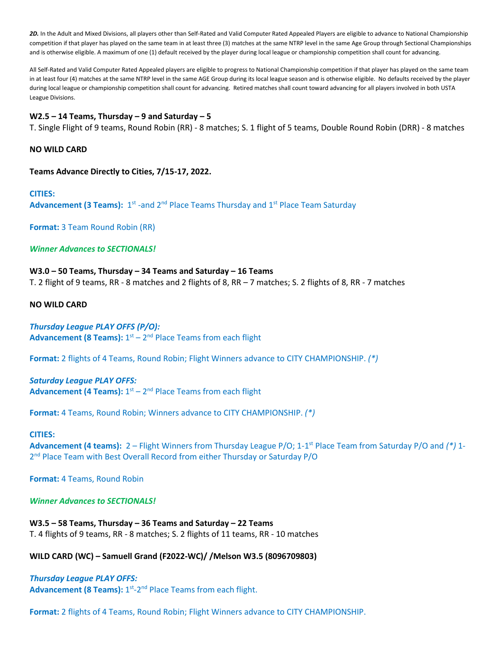*2D.* In the Adult and Mixed Divisions, all players other than Self-Rated and Valid Computer Rated Appealed Players are eligible to advance to National Championship competition if that player has played on the same team in at least three (3) matches at the same NTRP level in the same Age Group through Sectional Championships and is otherwise eligible. A maximum of one (1) default received by the player during local league or championship competition shall count for advancing.

All Self-Rated and Valid Computer Rated Appealed players are eligible to progress to National Championship competition if that player has played on the same team in at least four (4) matches at the same NTRP level in the same AGE Group during its local league season and is otherwise eligible. No defaults received by the player during local league or championship competition shall count for advancing. Retired matches shall count toward advancing for all players involved in both USTA League Divisions.

#### **W2.5 – 14 Teams, Thursday – 9 and Saturday – 5**

T. Single Flight of 9 teams, Round Robin (RR) - 8 matches; S. 1 flight of 5 teams, Double Round Robin (DRR) - 8 matches

#### **NO WILD CARD**

**Teams Advance Directly to Cities, 7/15-17, 2022.**

#### **CITIES:**

Advancement (3 Teams): 1<sup>st</sup> -and 2<sup>nd</sup> Place Teams Thursday and 1<sup>st</sup> Place Team Saturday

**Format:** 3 Team Round Robin (RR)

*Winner Advances to SECTIONALS!*

# **W3.0 – 50 Teams, Thursday – 34 Teams and Saturday – 16 Teams**

T. 2 flight of 9 teams, RR - 8 matches and 2 flights of 8, RR – 7 matches; S. 2 flights of 8, RR - 7 matches

#### **NO WILD CARD**

# *Thursday League PLAY OFFS (P/O):*

Advancement (8 Teams):  $1<sup>st</sup> - 2<sup>nd</sup>$  Place Teams from each flight

**Format:** 2 flights of 4 Teams, Round Robin; Flight Winners advance to CITY CHAMPIONSHIP. *(\*)*

#### *Saturday League PLAY OFFS:*

Advancement (4 Teams):  $1<sup>st</sup> - 2<sup>nd</sup>$  Place Teams from each flight

**Format:** 4 Teams, Round Robin; Winners advance to CITY CHAMPIONSHIP. *(\*)*

#### **CITIES:**

Advancement (4 teams): 2 – Flight Winners from Thursday League P/O; 1-1<sup>st</sup> Place Team from Saturday P/O and (\*) 1-2<sup>nd</sup> Place Team with Best Overall Record from either Thursday or Saturday P/O

**Format:** 4 Teams, Round Robin

#### *Winner Advances to SECTIONALS!*

**W3.5 – 58 Teams, Thursday – 36 Teams and Saturday – 22 Teams** T. 4 flights of 9 teams, RR - 8 matches; S. 2 flights of 11 teams, RR - 10 matches

#### **WILD CARD (WC) – Samuell Grand (F2022-WC)/ /Melson W3.5 (8096709803)**

# *Thursday League PLAY OFFS:*

Advancement (8 Teams): 1<sup>st</sup>-2<sup>nd</sup> Place Teams from each flight.

**Format:** 2 flights of 4 Teams, Round Robin; Flight Winners advance to CITY CHAMPIONSHIP.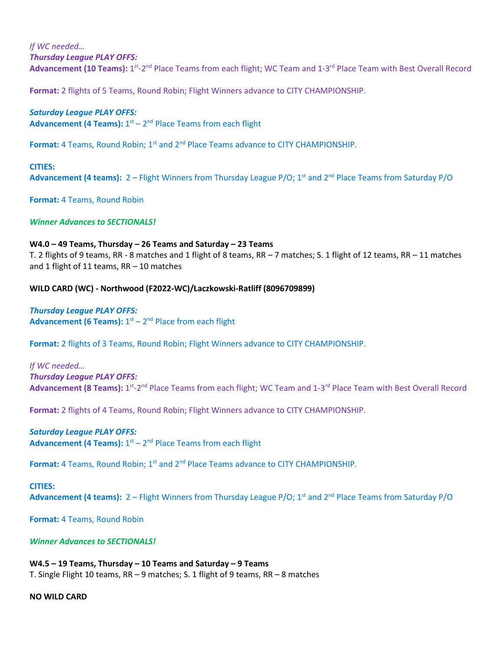# *If WC needed…*

*Thursday League PLAY OFFS:*

Advancement (10 Teams): 1<sup>st</sup>-2<sup>nd</sup> Place Teams from each flight; WC Team and 1-3<sup>rd</sup> Place Team with Best Overall Record

**Format:** 2 flights of 5 Teams, Round Robin; Flight Winners advance to CITY CHAMPIONSHIP.

# *Saturday League PLAY OFFS:*

Advancement (4 Teams):  $1<sup>st</sup> - 2<sup>nd</sup>$  Place Teams from each flight

Format: 4 Teams, Round Robin; 1<sup>st</sup> and 2<sup>nd</sup> Place Teams advance to CITY CHAMPIONSHIP.

## **CITIES:**

**Advancement (4 teams):** 2 – Flight Winners from Thursday League P/O; 1<sup>st</sup> and 2<sup>nd</sup> Place Teams from Saturday P/O

**Format:** 4 Teams, Round Robin

# *Winner Advances to SECTIONALS!*

# **W4.0 – 49 Teams, Thursday – 26 Teams and Saturday – 23 Teams**

T. 2 flights of 9 teams, RR - 8 matches and 1 flight of 8 teams, RR – 7 matches; S. 1 flight of 12 teams, RR – 11 matches and 1 flight of 11 teams, RR – 10 matches

# **WILD CARD (WC) - Northwood (F2022-WC)/Laczkowski-Ratliff (8096709899)**

*Thursday League PLAY OFFS:* **Advancement (6 Teams):** 1<sup>st</sup> – 2<sup>nd</sup> Place from each flight

**Format:** 2 flights of 3 Teams, Round Robin; Flight Winners advance to CITY CHAMPIONSHIP.

*If WC needed… Thursday League PLAY OFFS:* Advancement (8 Teams): 1<sup>st</sup>-2<sup>nd</sup> Place Teams from each flight; WC Team and 1-3<sup>rd</sup> Place Team with Best Overall Record

**Format:** 2 flights of 4 Teams, Round Robin; Flight Winners advance to CITY CHAMPIONSHIP.

# *Saturday League PLAY OFFS:*

Advancement (4 Teams):  $1<sup>st</sup> - 2<sup>nd</sup>$  Place Teams from each flight

**Format:** 4 Teams, Round Robin; 1<sup>st</sup> and 2<sup>nd</sup> Place Teams advance to CITY CHAMPIONSHIP.

#### **CITIES:**

**Advancement (4 teams):** 2 – Flight Winners from Thursday League P/O; 1<sup>st</sup> and 2<sup>nd</sup> Place Teams from Saturday P/O

**Format:** 4 Teams, Round Robin

*Winner Advances to SECTIONALS!*

**W4.5 – 19 Teams, Thursday – 10 Teams and Saturday – 9 Teams** T. Single Flight 10 teams, RR – 9 matches; S. 1 flight of 9 teams, RR – 8 matches

#### **NO WILD CARD**